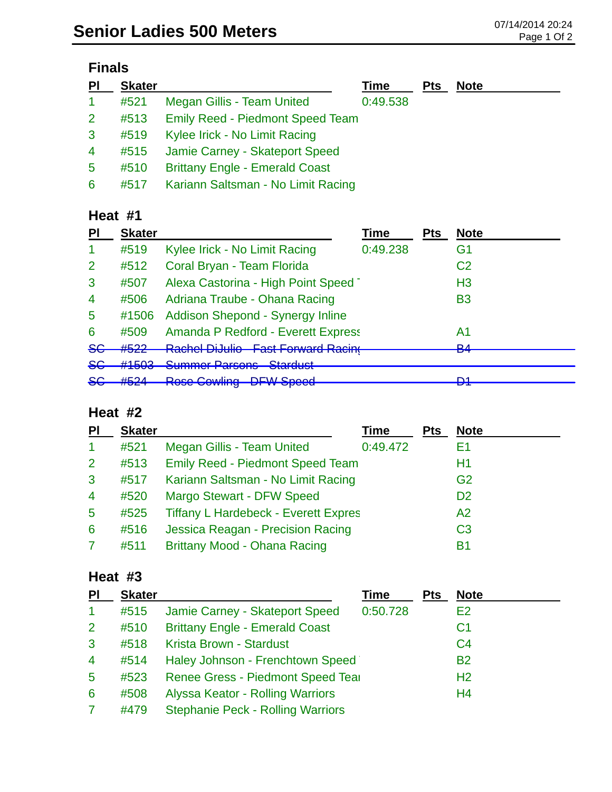| ınaı |
|------|
|------|

| PI                   | <b>Skater</b> |                                         | Time     | <b>Pts</b> | <b>Note</b> |
|----------------------|---------------|-----------------------------------------|----------|------------|-------------|
| $\blacktriangleleft$ | #521          | Megan Gillis - Team United              | 0:49.538 |            |             |
| 2 <sup>1</sup>       | #513          | <b>Emily Reed - Piedmont Speed Team</b> |          |            |             |
| $\mathbf{3}$         | #519          | Kylee Irick - No Limit Racing           |          |            |             |
| $\overline{4}$       | #515          | Jamie Carney - Skateport Speed          |          |            |             |
| $\overline{5}$       | #510          | <b>Brittany Engle - Emerald Coast</b>   |          |            |             |
| 6                    | #517          | Kariann Saltsman - No Limit Racing      |          |            |             |

#### **Heat #1**

| PI             | <b>Skater</b>     |                                                                     | Time     | <b>Pts</b> | <b>Note</b>         |
|----------------|-------------------|---------------------------------------------------------------------|----------|------------|---------------------|
|                | #519              | Kylee Irick - No Limit Racing                                       | 0:49.238 |            | G1                  |
| 2              | #512              | Coral Bryan - Team Florida                                          |          |            | C <sub>2</sub>      |
| 3              | #507              | Alexa Castorina - High Point Speed                                  |          |            | H <sub>3</sub>      |
| $\overline{4}$ | #506              | Adriana Traube - Ohana Racing                                       |          |            | <b>B3</b>           |
| $\overline{5}$ | #1506             | Addison Shepond - Synergy Inline                                    |          |            |                     |
| 6              | #509              | <b>Amanda P Redford - Everett Express</b>                           |          |            | A1                  |
| <del>SG</del>  | #J <i>LL</i>      | <b>Dochal Di Julia - East Eaguard Docing</b><br>ntaunun Diuumu      |          |            | D <sub>A</sub><br>▱ |
| <del>SG</del>  | H1ENO             | Cummor Darcono Ctorduct<br><u>Uummur Turouno</u>                    |          |            |                     |
| <del>SG</del>  | H E 2A<br>11 J 41 | <b>Doco Cowling</b><br>DEW Coood<br><del>Ruse Gowmig</del><br>opood |          |            | m4<br>▱             |
|                |                   |                                                                     |          |            |                     |

### **Heat #2**

| PI             | <b>Skater</b> |                                             | Time     | <b>Pts</b> | <b>Note</b>    |
|----------------|---------------|---------------------------------------------|----------|------------|----------------|
| 1              | #521          | <b>Megan Gillis - Team United</b>           | 0:49.472 |            | E1             |
| $\overline{2}$ | #513          | <b>Emily Reed - Piedmont Speed Team</b>     |          |            | H1             |
| 3              | #517          | Kariann Saltsman - No Limit Racing          |          |            | G <sub>2</sub> |
| 4              | #520          | <b>Margo Stewart - DFW Speed</b>            |          |            | D <sub>2</sub> |
| $\overline{5}$ | #525          | <b>Tiffany L Hardebeck - Everett Expres</b> |          |            | A <sub>2</sub> |
| 6              | #516          | Jessica Reagan - Precision Racing           |          |            | C <sub>3</sub> |
|                | #511          | Brittany Mood - Ohana Racing                |          |            | <b>B1</b>      |

### **Heat #3**

| PI              | <b>Skater</b> |                                          | Time     | <b>Pts</b> | <b>Note</b>    |
|-----------------|---------------|------------------------------------------|----------|------------|----------------|
| $\mathbf{1}$    | #515          | Jamie Carney - Skateport Speed           | 0:50.728 |            | E <sub>2</sub> |
| $\overline{2}$  | #510          | <b>Brittany Engle - Emerald Coast</b>    |          |            | C <sub>1</sub> |
| 3               | #518          | Krista Brown - Stardust                  |          |            | C <sub>4</sub> |
| $\overline{4}$  | #514          | Haley Johnson - Frenchtown Speed         |          |            | <b>B2</b>      |
| $5\phantom{.0}$ | #523          | Renee Gress - Piedmont Speed Tear        |          |            | H <sub>2</sub> |
| 6               | #508          | Alyssa Keator - Rolling Warriors         |          |            | H <sub>4</sub> |
|                 | #479          | <b>Stephanie Peck - Rolling Warriors</b> |          |            |                |